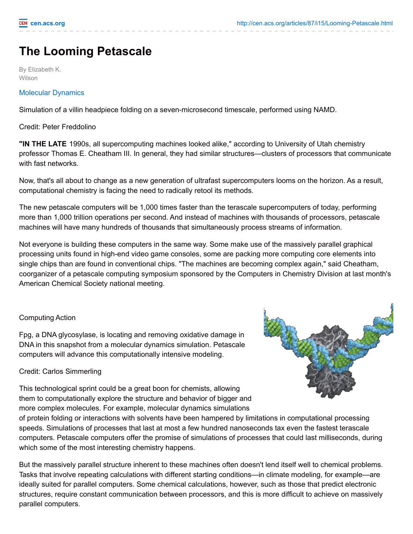## **The Looming Petascale**

By Elizabeth K. Wilson

## [Molecular](http://cen.acs.org/media/video/2009/03/cen-petascale_lg-vid1.html) Dynamics

Simulation of a villin headpiece folding on a seven-microsecond timescale, performed using NAMD.

Credit: Peter Freddolino

**"IN THE LATE** 1990s, all supercomputing machines looked alike," according to University of Utah chemistry professor Thomas E. Cheatham III. In general, they had similar structures—clusters of processors that communicate with fast networks.

Now, that's all about to change as a new generation of ultrafast supercomputers looms on the horizon. As a result, computational chemistry is facing the need to radically retool its methods.

The new petascale computers will be 1,000 times faster than the terascale supercomputers of today, performing more than 1,000 trillion operations per second. And instead of machines with thousands of processors, petascale machines will have many hundreds of thousands that simultaneously process streams of information.

Not everyone is building these computers in the same way. Some make use of the massively parallel graphical processing units found in high-end video game consoles, some are packing more computing core elements into single chips than are found in conventional chips. "The machines are becoming complex again," said Cheatham, coorganizer of a petascale computing symposium sponsored by the Computers in Chemistry Division at last month's American Chemical Society national meeting.

## Computing Action

Fpg, a DNA glycosylase, is locating and removing oxidative damage in DNA in this snapshot from a molecular dynamics simulation. Petascale computers will advance this computationally intensive modeling.

## Credit: Carlos Simmerling

This technological sprint could be a great boon for chemists, allowing them to computationally explore the structure and behavior of bigger and more complex molecules. For example, molecular dynamics simulations

of protein folding or interactions with solvents have been hampered by limitations in computational processing speeds. Simulations of processes that last at most a few hundred nanoseconds tax even the fastest terascale computers. Petascale computers offer the promise of simulations of processes that could last milliseconds, during which some of the most interesting chemistry happens.

But the massively parallel structure inherent to these machines often doesn't lend itself well to chemical problems. Tasks that involve repeating calculations with different starting conditions—in climate modeling, for example—are ideally suited for parallel computers. Some chemical calculations, however, such as those that predict electronic structures, require constant communication between processors, and this is more difficult to achieve on massively parallel computers.